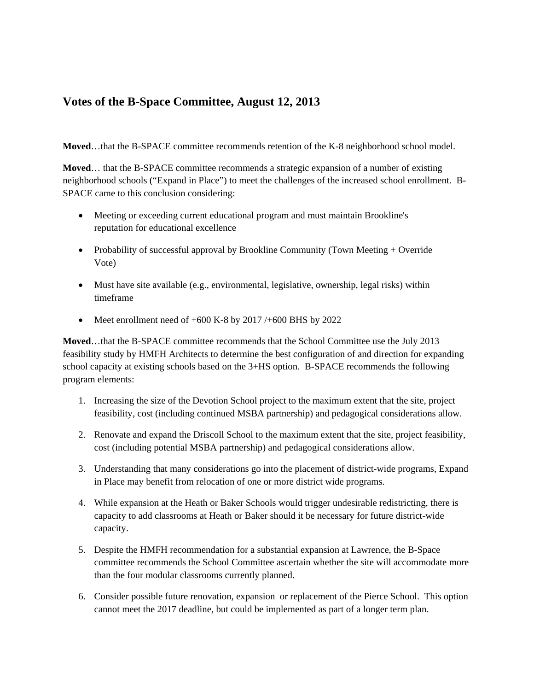## **Votes of the B-Space Committee, August 12, 2013**

**Moved**…that the B-SPACE committee recommends retention of the K-8 neighborhood school model.

**Moved**… that the B-SPACE committee recommends a strategic expansion of a number of existing neighborhood schools ("Expand in Place") to meet the challenges of the increased school enrollment. B-SPACE came to this conclusion considering:

- Meeting or exceeding current educational program and must maintain Brookline's reputation for educational excellence
- Probability of successful approval by Brookline Community (Town Meeting + Override Vote)
- Must have site available (e.g., environmental, legislative, ownership, legal risks) within timeframe
- Meet enrollment need of  $+600$  K-8 by 2017/ $+600$  BHS by 2022

**Moved**…that the B-SPACE committee recommends that the School Committee use the July 2013 feasibility study by HMFH Architects to determine the best configuration of and direction for expanding school capacity at existing schools based on the 3+HS option. B-SPACE recommends the following program elements:

- 1. Increasing the size of the Devotion School project to the maximum extent that the site, project feasibility, cost (including continued MSBA partnership) and pedagogical considerations allow.
- 2. Renovate and expand the Driscoll School to the maximum extent that the site, project feasibility, cost (including potential MSBA partnership) and pedagogical considerations allow.
- 3. Understanding that many considerations go into the placement of district-wide programs, Expand in Place may benefit from relocation of one or more district wide programs.
- 4. While expansion at the Heath or Baker Schools would trigger undesirable redistricting, there is capacity to add classrooms at Heath or Baker should it be necessary for future district-wide capacity.
- 5. Despite the HMFH recommendation for a substantial expansion at Lawrence, the B-Space committee recommends the School Committee ascertain whether the site will accommodate more than the four modular classrooms currently planned.
- 6. Consider possible future renovation, expansion or replacement of the Pierce School. This option cannot meet the 2017 deadline, but could be implemented as part of a longer term plan.